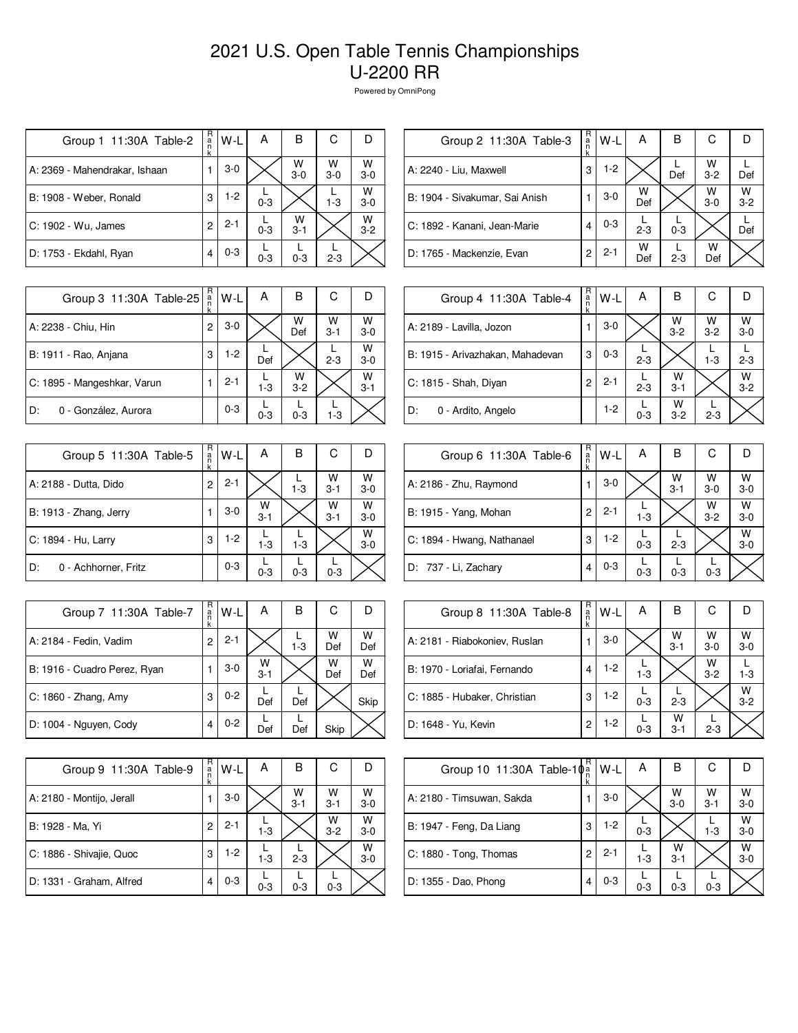| Group 1 11:30A Table-2        | R<br>а́<br>n<br>k | W-L     | А       | B            | С          | Ð            |
|-------------------------------|-------------------|---------|---------|--------------|------------|--------------|
| A: 2369 - Mahendrakar, Ishaan |                   | $3-0$   |         | W<br>$3-0$   | W<br>$3-0$ | W<br>$3-0$   |
| B: 1908 - Weber, Ronald       | 3                 | $1-2$   | $0 - 3$ |              | $1 - 3$    | W<br>$3 - 0$ |
| C: 1902 - Wu, James           | 2                 | $2 - 1$ | $0 - 3$ | w<br>$3 - 1$ |            | W<br>$3-2$   |
| D: 1753 - Ekdahl, Ryan        | 4                 | $0 - 3$ | $0 - 3$ | $0 - 3$      | $2 - 3$    |              |

| R<br>a<br>n<br>k | W-L     | Α        | в       | С            |              |
|------------------|---------|----------|---------|--------------|--------------|
| 3                | 1-2     |          | Def     | W<br>$3 - 2$ | Def          |
|                  | $3-0$   | w<br>Def |         | W<br>$3-0$   | W<br>$3 - 2$ |
| 4                | $0 - 3$ | $2 - 3$  | $0 - 3$ |              | Def          |
| 2                | $2 - 1$ | W<br>Def | $2 - 3$ | w<br>Def     |              |
|                  |         |          |         |              |              |

| Group 3 11:30A Table-25     | R<br>$\frac{a}{n}$<br>k | $W-L$   | A       | в          | С            |              |
|-----------------------------|-------------------------|---------|---------|------------|--------------|--------------|
| A: 2238 - Chiu, Hin         | $\overline{c}$          | $3-0$   |         | W<br>Def   | W<br>$3 - 1$ | W<br>$3-0$   |
| B: 1911 - Rao, Anjana       | 3                       | $1-2$   | Def     |            | $2 - 3$      | W<br>$3-0$   |
| C: 1895 - Mangeshkar, Varun |                         | $2 - 1$ | $1 - 3$ | W<br>$3-2$ |              | W<br>$3 - 1$ |
| D:<br>0 - González, Aurora  |                         | $0 - 3$ | $0 - 3$ | $0 - 3$    | $1 - 3$      |              |

| Group 5 11:30A Table-5     | R<br>a<br>k | W-L     | Α            | В       | С            |              |
|----------------------------|-------------|---------|--------------|---------|--------------|--------------|
| A: 2188 - Dutta, Dido      | 2           | $2 - 1$ |              | $1 - 3$ | w<br>$3 - 1$ | W<br>$3 - 0$ |
| B: 1913 - Zhang, Jerry     |             | $3-0$   | W<br>$3 - 1$ |         | W<br>$3 - 1$ | W<br>$3 - 0$ |
| C: 1894 - Hu, Larry        | 3           | $1-2$   | $1 - 3$      | $1 - 3$ |              | W<br>$3-0$   |
| 0 - Achhorner, Fritz<br>D: |             | $0 - 3$ | $0 - 3$      | $0 - 3$ | $0 - 3$      |              |

| Group 7 11:30A Table-7       | R<br>a<br>n<br>k | W-L     | А            | В       | С        | D        |
|------------------------------|------------------|---------|--------------|---------|----------|----------|
| A: 2184 - Fedin, Vadim       | 2                | $2 - 1$ |              | $1 - 3$ | W<br>Def | W<br>Def |
| B: 1916 - Cuadro Perez, Ryan |                  | $3-0$   | W<br>$3 - 1$ |         | W<br>Def | w<br>Def |
| C: 1860 - Zhang, Amy         | 3                | $0 - 2$ | Def          | Def     |          | Skip     |
| D: 1004 - Nguyen, Cody       | 4                | $0 - 2$ | Def          | Def     | Skip     |          |

| Group 9 11:30A Table-9    | R<br>a<br>k | W-L     | Α       | в            | С            |              |
|---------------------------|-------------|---------|---------|--------------|--------------|--------------|
| A: 2180 - Montijo, Jerall |             | $3-0$   |         | W<br>$3 - 1$ | w<br>$3 - 1$ | W<br>$3 - 0$ |
| B: 1928 - Ma, Yi          | 2           | $2 - 1$ | $1 - 3$ |              | W<br>$3 - 2$ | W<br>$3-0$   |
| C: 1886 - Shivajie, Quoc  | 3           | $1-2$   | $1 - 3$ | $2 - 3$      |              | W<br>$3 - 0$ |
| D: 1331 - Graham, Alfred  | 4           | $0 - 3$ | $0 - 3$ | $0 - 3$      | $0 - 3$      |              |

| Group 4 11:30A Table-4           | R<br>a<br>k | $W-L$   | А       | в            | С            |              |
|----------------------------------|-------------|---------|---------|--------------|--------------|--------------|
| A: 2189 - Lavilla, Jozon         |             | $3-0$   |         | W<br>$3-2$   | W<br>$3 - 2$ | W<br>$3 - 0$ |
| B: 1915 - Arivazhakan, Mahadevan | 3           | $0 - 3$ | $2 - 3$ |              | $1 - 3$      | $2 - 3$      |
| C: 1815 - Shah, Diyan            | 2           | $2 - 1$ | $2 - 3$ | w<br>$3 - 1$ |              | W<br>$3 - 2$ |
| .D:<br>0 - Ardito, Angelo        |             | $1-2$   | $0 - 3$ | W<br>$3 - 2$ | $2 - 3$      |              |

| Group 6 11:30A Table-6     | R<br>a<br>n | W-L     | Α       | в            | С          |            |
|----------------------------|-------------|---------|---------|--------------|------------|------------|
| A: 2186 - Zhu, Raymond     |             | $3-0$   |         | W<br>$3 - 1$ | W<br>$3-0$ | W<br>$3-0$ |
| B: 1915 - Yang, Mohan      | 2           | $2 - 1$ | $1 - 3$ |              | W<br>$3-2$ | w<br>$3-0$ |
| C: 1894 - Hwang, Nathanael | 3           | $1-2$   | $0 - 3$ | $2 - 3$      |            | W<br>$3-0$ |
| D: 737 - Li, Zachary       | 4           | $0 - 3$ | $0 - 3$ | $0 - 3$      | $0 - 3$    |            |

| Group 8 11:30A Table-8        | R<br>ă | W-L   | Α       | в                  | С                  |              |
|-------------------------------|--------|-------|---------|--------------------|--------------------|--------------|
| A: 2181 - Riabokoniev, Ruslan |        | $3-0$ |         | $W$ <sub>3-1</sub> | $W$ <sub>3-0</sub> | W<br>$3 - 0$ |
| B: 1970 - Loriafai, Fernando  | 4      | $1-2$ | $1 - 3$ |                    | W<br>$3 - 2$       | $1 - 3$      |
| C: 1885 - Hubaker, Christian  | 3      | $1-2$ | $0 - 3$ | $2 - 3$            |                    | W<br>$3 - 2$ |
| D: 1648 - Yu, Kevin           | 2      | 1-2   | $0 - 3$ | w<br>$3 - 1$       | $2 - 3$            |              |

| Group 10 11:30A Table-10 <sup>a</sup> | R<br>k | W-L     | А       | в            | С            |              |
|---------------------------------------|--------|---------|---------|--------------|--------------|--------------|
| A: 2180 - Timsuwan, Sakda             |        | $3-0$   |         | W<br>$3-0$   | W<br>$3 - 1$ | w<br>$3 - 0$ |
| B: 1947 - Feng, Da Liang              | 3      | $1-2$   | $0 - 3$ |              | $1 - 3$      | w<br>$3 - 0$ |
| C: 1880 - Tong, Thomas                | 2      | $2 - 1$ | $1 - 3$ | W<br>$3 - 1$ |              | W<br>$3 - 0$ |
| D: 1355 - Dao, Phong                  | 4      | $0 - 3$ | $0 - 3$ | $0 - 3$      | $0 - 3$      |              |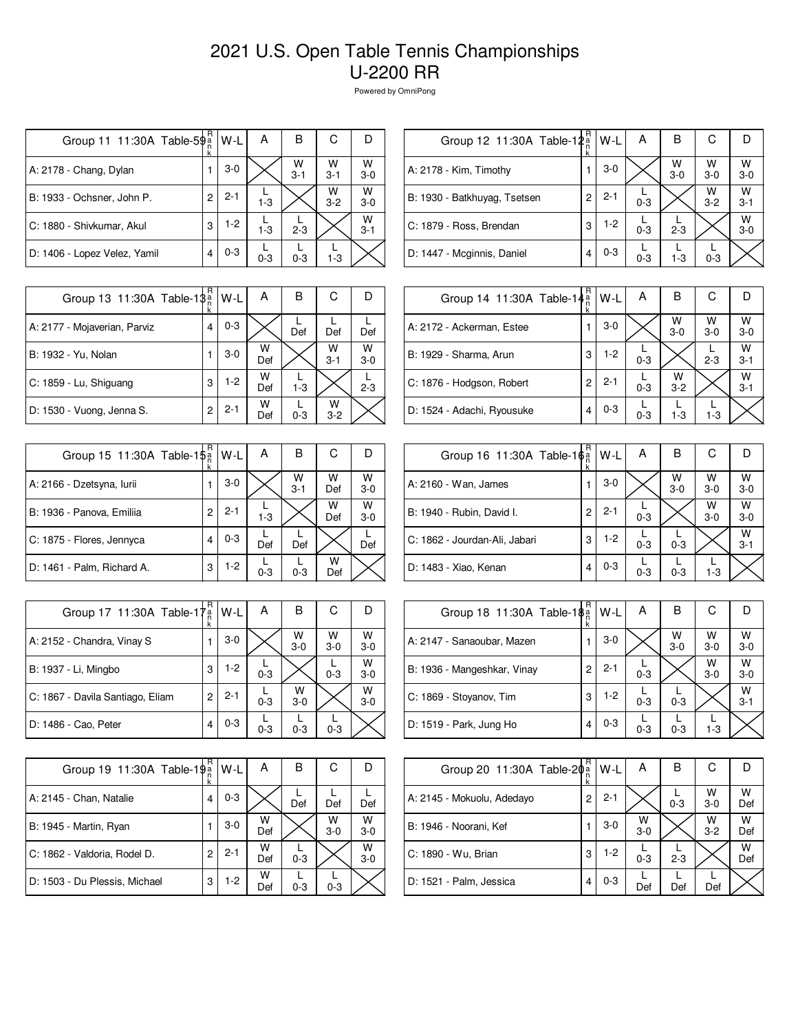| Group 11 11:30A Table-5 $\frac{5}{9}$ a | R | W-L     | A       | В            | С            |              |
|-----------------------------------------|---|---------|---------|--------------|--------------|--------------|
| A: 2178 - Chang, Dylan                  |   | $3-0$   |         | W<br>$3 - 1$ | W<br>$3 - 1$ | W<br>$3 - 0$ |
| B: 1933 - Ochsner, John P.              | 2 | $2 - 1$ | $1 - 3$ |              | W<br>$3 - 2$ | W<br>$3 - 0$ |
| C: 1880 - Shivkumar, Akul               | 3 | $1-2$   | $1 - 3$ | $2 - 3$      |              | W<br>$3 - 1$ |
| D: 1406 - Lopez Velez, Yamil            |   | $0 - 3$ | $0 - 3$ | $0 - 3$      | $1 - 3$      |              |

| Group 12 11:30A Table-12 <sup>a</sup> | R | W-L     | Α       | в            | С          |              |
|---------------------------------------|---|---------|---------|--------------|------------|--------------|
| A: 2178 - Kim, Timothy                |   | $3-0$   |         | W<br>$3 - 0$ | W<br>$3-0$ | W<br>$3-0$   |
| B: 1930 - Batkhuyag, Tsetsen          | 2 | $2 - 1$ | $0 - 3$ |              | W<br>$3-2$ | W<br>$3 - 1$ |
| C: 1879 - Ross, Brendan               | 3 | $1-2$   | $0 - 3$ | $2 - 3$      |            | W<br>$3 - 0$ |
| D: 1447 - Mcginnis, Daniel            |   | $0 - 3$ | $0 - 3$ | $1 - 3$      | $0 - 3$    |              |

| Group 13 11:30A Table-18 <sup>a</sup> | R | W-L     | А        | в       | С            |            |
|---------------------------------------|---|---------|----------|---------|--------------|------------|
| A: 2177 - Mojaverian, Parviz          | 4 | $0 - 3$ |          | Def     | Def          | Def        |
| B: 1932 - Yu, Nolan                   |   | $3-0$   | W<br>Def |         | W<br>$3 - 1$ | w<br>$3-0$ |
| C: 1859 - Lu, Shiguang                | 3 | $1-2$   | W<br>Def | $1 - 3$ |              | $2 - 3$    |
| D: 1530 - Vuong, Jenna S.             | 2 | $2 - 1$ | W<br>Def | $0 - 3$ | w<br>$3-2$   |            |

| Group 15 11:30A Table-1\$ <sup>a</sup> | R<br>k | W-L     | Α       | В            | С        |              |
|----------------------------------------|--------|---------|---------|--------------|----------|--------------|
| A: 2166 - Dzetsyna, Iurii              |        | $3-0$   |         | W<br>$3 - 1$ | W<br>Def | W<br>$3 - 0$ |
| B: 1936 - Panova, Emiliia              | 2      | $2 - 1$ | $1 - 3$ |              | W<br>Def | W<br>$3 - 0$ |
| C: 1875 - Flores, Jennyca              | 4      | $0 - 3$ | Def     | Def          |          | Def          |
| D: 1461 - Palm, Richard A.             | 3      | $1-2$   | $0 - 3$ | $0 - 3$      | w<br>Def |              |

| Group 17 11:30A Table-17         | R<br>'a<br>n<br>k | W-L     | Α       | в            | С            |              |
|----------------------------------|-------------------|---------|---------|--------------|--------------|--------------|
| A: 2152 - Chandra, Vinay S       |                   | $3-0$   |         | W<br>$3 - 0$ | W<br>$3 - 0$ | W<br>$3 - 0$ |
| B: 1937 - Li, Mingbo             | 3                 | $1-2$   | $0 - 3$ |              | $0 - 3$      | w<br>$3-0$   |
| C: 1867 - Davila Santiago, Eliam | 2                 | $2 - 1$ | $0 - 3$ | w<br>$3-0$   |              | W<br>$3 - 0$ |
| D: 1486 - Cao, Peter             |                   | $0 - 3$ | $0 - 3$ | $0 - 3$      | $0 - 3$      |              |

| Group 19 11:30A Table-19 <sup>a</sup> | R | W-L     | Α        | в       | С          |              |
|---------------------------------------|---|---------|----------|---------|------------|--------------|
| A: 2145 - Chan, Natalie               | 4 | $0 - 3$ |          | Def     | Def        | Def          |
| B: 1945 - Martin, Ryan                |   | $3-0$   | W<br>Def |         | W<br>$3-0$ | w<br>$3-0$   |
| C: 1862 - Valdoria, Rodel D.          | 2 | $2 - 1$ | W<br>Def | $0 - 3$ |            | W<br>$3 - 0$ |
| D: 1503 - Du Plessis, Michael         | 3 | $1-2$   | w<br>Def | $0 - 3$ | $0 - 3$    |              |

| Group 14 11:30A Table-14 <sup>a</sup> | R | W-L     | A       | В            | С          |              |
|---------------------------------------|---|---------|---------|--------------|------------|--------------|
| A: 2172 - Ackerman, Estee             |   | $3-0$   |         | W<br>$3-0$   | W<br>$3-0$ | W<br>$3 - 0$ |
| B: 1929 - Sharma, Arun                | 3 | $1-2$   | $0 - 3$ |              | $2 - 3$    | W<br>$3 - 1$ |
| C: 1876 - Hodgson, Robert             | 2 | $2 - 1$ | $0 - 3$ | W<br>$3 - 2$ |            | W<br>$3 - 1$ |
| D: 1524 - Adachi, Ryousuke            | 4 | $0 - 3$ | $0 - 3$ | $1-3$        | $1-3$      |              |

| Group 16 11:30A Table-16 <sup>a</sup> | R | W-L     | Α       | в          | С          |              |
|---------------------------------------|---|---------|---------|------------|------------|--------------|
| A: 2160 - Wan, James                  |   | $3-0$   |         | W<br>$3-0$ | W<br>$3-0$ | W<br>$3-0$   |
| B: 1940 - Rubin, David I.             | 2 | $2 - 1$ | $0 - 3$ |            | W<br>$3-0$ | W<br>$3-0$   |
| C: 1862 - Jourdan-Ali, Jabari         | 3 | $1-2$   | $0 - 3$ | $0 - 3$    |            | W<br>$3 - 1$ |
| D: 1483 - Xiao, Kenan                 | 4 | $0 - 3$ | $0 - 3$ | $0 - 3$    | $1 - 3$    |              |

| Group 18 11:30A Table-18 <sup>a</sup> | R | W-L     | Α       | в            | С            |              |
|---------------------------------------|---|---------|---------|--------------|--------------|--------------|
| A: 2147 - Sanaoubar, Mazen            |   | $3-0$   |         | W<br>$3 - 0$ | W<br>$3 - 0$ | W<br>$3 - 0$ |
| B: 1936 - Mangeshkar, Vinay           | 2 | $2 - 1$ | $0 - 3$ |              | W<br>$3-0$   | W<br>$3-0$   |
| C: 1869 - Stoyanov, Tim               | 3 | $1-2$   | $0 - 3$ | $0 - 3$      |              | W<br>$3 - 1$ |
| D: 1519 - Park, Jung Ho               | 4 | $0 - 3$ | $0 - 3$ | $0 - 3$      | $1 - 3$      |              |

| Group 20 11:30A Table-2 $\phi_n^{\alpha}$ | R | $W-L$   | Α          | B       | С          |          |
|-------------------------------------------|---|---------|------------|---------|------------|----------|
| A: 2145 - Mokuolu, Adedayo                | 2 | $2 - 1$ |            | $0 - 3$ | W<br>$3-0$ | W<br>Def |
| B: 1946 - Noorani, Kef                    |   | $3-0$   | W<br>$3-0$ |         | W<br>$3-2$ | w<br>Def |
| C: 1890 - Wu, Brian                       | 3 | $1-2$   | $0 - 3$    | $2 - 3$ |            | W<br>Def |
| D: 1521 - Palm, Jessica                   | 4 | $0 - 3$ | Def        | Def     | Def        |          |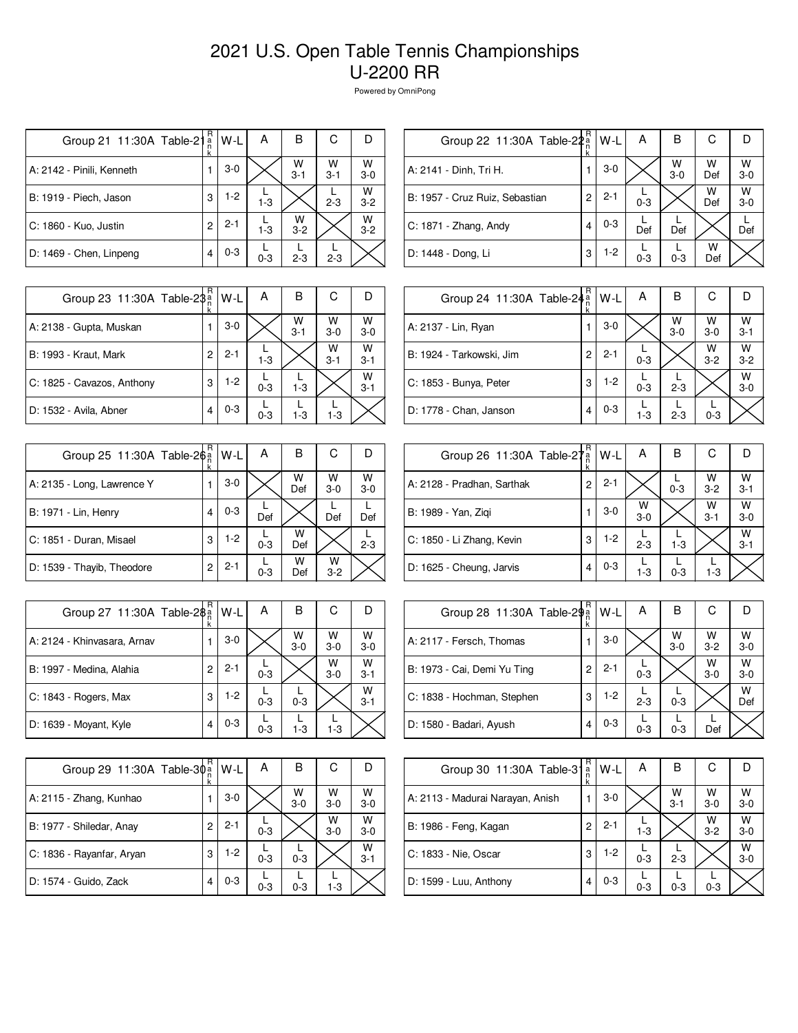| Group 21 11:30A Table-21  | R<br>а́<br>n<br>k | W-L     | А       | в            | С            | Ð            |
|---------------------------|-------------------|---------|---------|--------------|--------------|--------------|
| A: 2142 - Pinili, Kenneth |                   | $3-0$   |         | W<br>$3 - 1$ | W<br>$3 - 1$ | W<br>$3-0$   |
| B: 1919 - Piech, Jason    | 3                 | $1-2$   | $1 - 3$ |              | $2 - 3$      | W<br>$3 - 2$ |
| C: 1860 - Kuo, Justin     | 2                 | $2 - 1$ | $1 - 3$ | w<br>$3 - 2$ |              | W<br>$3 - 2$ |
| D: 1469 - Chen, Linpeng   | 4                 | $0 - 3$ | $0 - 3$ | $2 - 3$      | $2 - 3$      |              |

| Group 22 11:30A Table-22a      | R<br>k | W-L     | А       | в                  | С        |              |
|--------------------------------|--------|---------|---------|--------------------|----------|--------------|
| A: 2141 - Dinh, Tri H.         | 1      | $3-0$   |         | $W$ <sub>3-0</sub> | w<br>Def | W<br>$3 - 0$ |
| B: 1957 - Cruz Ruiz, Sebastian | 2      | $2 - 1$ | $0 - 3$ |                    | W<br>Def | W<br>$3 - 0$ |
| $C: 1871 - Zhang, Andy$        | 4      | $0 - 3$ | Def     | Def                |          | Def          |
| D: 1448 - Dong, Li             | 3      | $1-2$   | $0 - 3$ | $0 - 3$            | w<br>Def |              |

| Group 23 11:30A Table-2\$  | R | W-L     | Α       | В            | С            |              |
|----------------------------|---|---------|---------|--------------|--------------|--------------|
| A: 2138 - Gupta, Muskan    |   | $3-0$   |         | W<br>$3 - 1$ | W<br>$3-0$   | W<br>$3-0$   |
| B: 1993 - Kraut, Mark      | 2 | $2 - 1$ | $1 - 3$ |              | W<br>$3 - 1$ | W<br>$3 - 1$ |
| C: 1825 - Cavazos, Anthony | 3 | $1-2$   | $0 - 3$ | $1 - 3$      |              | W<br>$3 - 1$ |
| D: 1532 - Avila, Abner     |   | $0 - 3$ | $0 - 3$ | $1 - 3$      | $1 - 3$      |              |

| Group 25 11:30A Table-2 $\hat{\phi}$ a | R | W-L     | Α       | В        | С          |              |
|----------------------------------------|---|---------|---------|----------|------------|--------------|
|                                        | k |         |         |          |            |              |
| A: 2135 - Long, Lawrence Y             |   | $3-0$   |         | W<br>Def | W<br>$3-0$ | W<br>$3 - 0$ |
| B: 1971 - Lin, Henry                   |   | $0 - 3$ | Def     |          | Def        | Def          |
| C: 1851 - Duran, Misael                | 3 | $1 - 2$ | $0 - 3$ | w<br>Def |            | $2 - 3$      |
| D: 1539 - Thayib, Theodore             | 2 | $2 - 1$ | $0 - 3$ | w<br>Def | w<br>$3-2$ |              |

| Group 27 11:30A Table-2\$   | k | W-L     | А       | в            | С          |              |
|-----------------------------|---|---------|---------|--------------|------------|--------------|
| A: 2124 - Khinvasara, Arnav |   | $3-0$   |         | w<br>$3 - 0$ | W<br>$3-0$ | w<br>$3-0$   |
| B: 1997 - Medina, Alahia    | 2 | $2 - 1$ | $0 - 3$ |              | W<br>$3-0$ | W<br>$3 - 1$ |
| C: 1843 - Rogers, Max       | 3 | $1-2$   | $0 - 3$ | $0 - 3$      |            | W<br>$3 - 1$ |
| D: 1639 - Moyant, Kyle      | 4 | $0 - 3$ | $0 - 3$ | $1 - 3$      | 1-3        |              |

| Group 29 11:30A Table-30 <sup>a</sup> | R<br>k | W-L     | А       | В          | С          |              |
|---------------------------------------|--------|---------|---------|------------|------------|--------------|
| A: 2115 - Zhang, Kunhao               |        | $3-0$   |         | W<br>$3-0$ | w<br>$3-0$ | W<br>$3-0$   |
| B: 1977 - Shiledar, Anay              | 2      | $2 - 1$ | $0 - 3$ |            | W<br>$3-0$ | w<br>$3-0$   |
| C: 1836 - Rayanfar, Aryan             | 3      | $1-2$   | $0 - 3$ | $0 - 3$    |            | W<br>$3 - 1$ |
| D: 1574 - Guido, Zack                 | 4      | $0 - 3$ | $0 - 3$ | $0 - 3$    | $1-3$      |              |

| Group 24 11:30A Table-24 <sup>a</sup> | R<br>k | W-L     | А       | в          | С            |              |
|---------------------------------------|--------|---------|---------|------------|--------------|--------------|
| A: 2137 - Lin, Ryan                   |        | $3-0$   |         | W<br>$3-0$ | w<br>$3 - 0$ | W<br>$3 - 1$ |
| B: 1924 - Tarkowski, Jim              | 2      | $2 - 1$ | $0 - 3$ |            | W<br>$3-2$   | W<br>$3 - 2$ |
| C: 1853 - Bunya, Peter                | 3      | $1-2$   | $0 - 3$ | $2 - 3$    |              | W<br>$3 - 0$ |
| D: 1778 - Chan, Janson                | 4      | $0 - 3$ | $1-3$   | $2 - 3$    | $0 - 3$      |              |

| Group 26 11:30A Table-27 <sup>a</sup> | R | W-L     | А            | В       | С            |              |
|---------------------------------------|---|---------|--------------|---------|--------------|--------------|
| A: 2128 - Pradhan, Sarthak            | 2 | $2 - 1$ |              | $0 - 3$ | W<br>$3 - 2$ | W<br>$3 - 1$ |
| B: 1989 - Yan, Ziqi                   |   | $3-0$   | W<br>$3 - 0$ |         | W<br>$3 - 1$ | w<br>$3-0$   |
| C: 1850 - Li Zhang, Kevin             | 3 | 1-2     | $2 - 3$      | $1-3$   |              | W<br>$3 - 1$ |
| D: 1625 - Cheung, Jarvis              | 4 | $0 - 3$ | $1 - 3$      | $0 - 3$ | $1 - 3$      |              |

| Group 28 11:30A Table-29 <sup>a</sup> | R | $W-L$   | А       | в            | С                  |              |
|---------------------------------------|---|---------|---------|--------------|--------------------|--------------|
| A: 2117 - Fersch, Thomas              |   | $3-0$   |         | W<br>$3 - 0$ | $W$ <sub>3-2</sub> | W<br>$3 - 0$ |
| B: 1973 - Cai, Demi Yu Ting           | 2 | $2 - 1$ | $0 - 3$ |              | w<br>$3-0$         | W<br>$3-0$   |
| C: 1838 - Hochman, Stephen            | 3 | $1-2$   | $2 - 3$ | $0 - 3$      |                    | w<br>Def     |
| D: 1580 - Badari, Ayush               | 4 | $0 - 3$ | $0 - 3$ | $0 - 3$      | Def                |              |

| Group 30 11:30A Table-31         | R<br>$\frac{a}{n}$ | W-L     | А       | в          | С          |              |
|----------------------------------|--------------------|---------|---------|------------|------------|--------------|
| A: 2113 - Madurai Narayan, Anish |                    | $3-0$   |         | W<br>$3-1$ | W<br>$3-0$ | W<br>$3 - 0$ |
| B: 1986 - Feng, Kagan            | 2                  | $2 - 1$ | $1 - 3$ |            | W<br>$3-2$ | W<br>$3-0$   |
| C: 1833 - Nie, Oscar             | 3                  | $1-2$   | $0 - 3$ | $2 - 3$    |            | W<br>$3 - 0$ |
| D: 1599 - Luu, Anthony           | 4                  | $0 - 3$ | $0 - 3$ | $0 - 3$    | $0 - 3$    |              |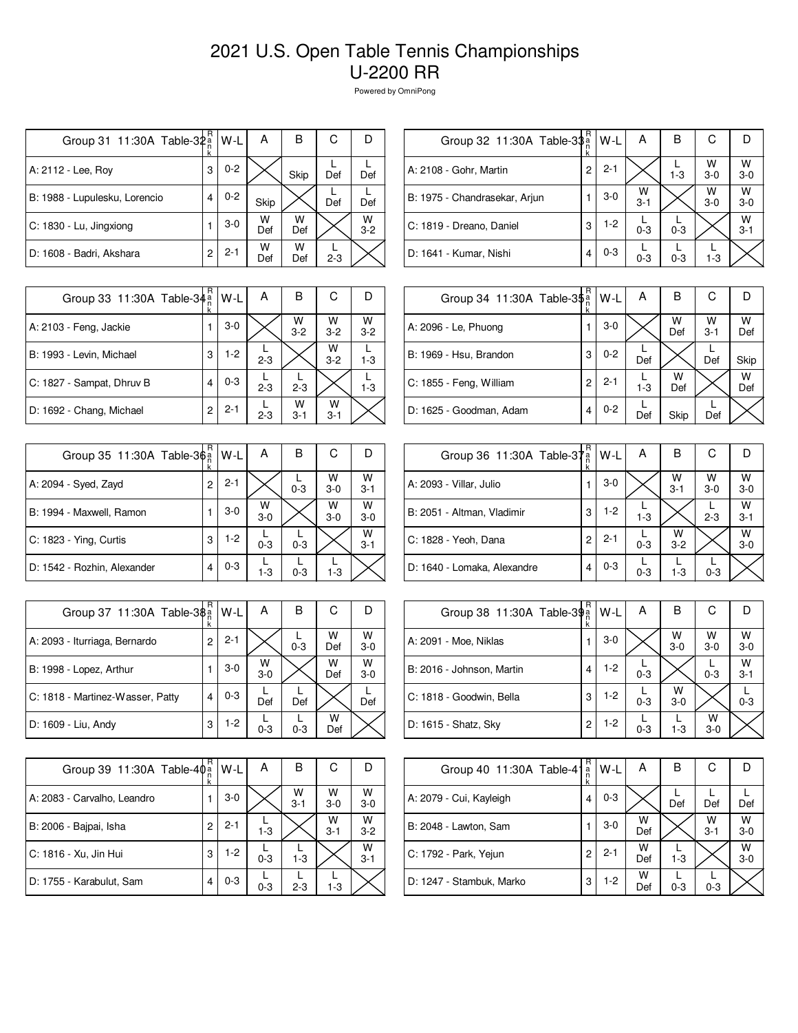| Group 31 11:30A Table-32 <sup>a</sup> | R<br>k | W-L     | Α        | В        | С       |            |
|---------------------------------------|--------|---------|----------|----------|---------|------------|
| A: 2112 - Lee, Roy                    | 3      | $0 - 2$ |          | Skip     | Def     | Def        |
| B: 1988 - Lupulesku, Lorencio         | 4      | $0 - 2$ | Skip     |          | Def     | Def        |
| C: 1830 - Lu, Jingxiong               |        | $3-0$   | w<br>Def | w<br>Def |         | W<br>$3-2$ |
| D: 1608 - Badri, Akshara              | 2      | $2 - 1$ | W<br>Def | w<br>Def | $2 - 3$ |            |

| Group 32 11:30A Table-3\$     | R | W-L     | А            | в       | С            |              |
|-------------------------------|---|---------|--------------|---------|--------------|--------------|
| A: 2108 - Gohr, Martin        | 2 | $2 - 1$ |              | $1 - 3$ | W<br>$3 - 0$ | w<br>$3 - 0$ |
| B: 1975 - Chandrasekar, Arjun |   | $3-0$   | w<br>$3 - 1$ |         | W<br>$3-0$   | W<br>$3-0$   |
| C: 1819 - Dreano, Daniel      | 3 | $1-2$   | $0 - 3$      | $0 - 3$ |              | W<br>$3 - 1$ |
| D: 1641 - Kumar, Nishi        | 4 | $0 - 3$ | $0 - 3$      | $0 - 3$ | $1 - 3$      |              |

| Group 33 11:30A Table-34 <sup>a</sup> | R | $W-L$   | A       | в            | С            |              |
|---------------------------------------|---|---------|---------|--------------|--------------|--------------|
| A: 2103 - Feng, Jackie                |   | $3-0$   |         | w<br>$3 - 2$ | W<br>$3 - 2$ | W<br>$3 - 2$ |
| B: 1993 - Levin, Michael              | 3 | $1-2$   | $2 - 3$ |              | W<br>$3 - 2$ | $1 - 3$      |
| C: 1827 - Sampat, Dhruv B             | 4 | $0 - 3$ | $2 - 3$ | $2 - 3$      |              | $1 - 3$      |
| D: 1692 - Chang, Michael              | 2 | $2 - 1$ | $2 - 3$ | w<br>$3 - 1$ | W<br>$3 - 1$ |              |

| Group 35 11:30A Table-3 $\frac{5}{9}$ | R<br>k         | W-L     | Α          | В       | С          |              |
|---------------------------------------|----------------|---------|------------|---------|------------|--------------|
| A: 2094 - Syed, Zayd                  | $\overline{c}$ | $2 - 1$ |            | $0 - 3$ | W<br>$3-0$ | W<br>$3 - 1$ |
| B: 1994 - Maxwell, Ramon              |                | $3-0$   | W<br>$3-0$ |         | W<br>$3-0$ | W<br>$3 - 0$ |
| C: 1823 - Ying, Curtis                | 3              | $1-2$   | $0 - 3$    | $0 - 3$ |            | W<br>$3 - 1$ |
| D: 1542 - Rozhin, Alexander           | 4              | $0 - 3$ | $1-3$      | $0 - 3$ | $1 - 3$    |              |

| Group 37 11:30A Table-3\$        | R<br>k | W-L     | А          | в       | С        | D            |
|----------------------------------|--------|---------|------------|---------|----------|--------------|
| A: 2093 - Iturriaga, Bernardo    | 2      | $2 - 1$ |            | $0 - 3$ | W<br>Def | W<br>$3 - 0$ |
| B: 1998 - Lopez, Arthur          |        | $3-0$   | W<br>$3-0$ |         | W<br>Def | w<br>$3-0$   |
| C: 1818 - Martinez-Wasser, Patty | 4      | $0 - 3$ | Def        | Def     |          | Def          |
| D: 1609 - Liu, Andy              | 3      | $1-2$   | $0 - 3$    | $0 - 3$ | w<br>Def |              |

| Group 39 11:30A Table-40 <sup>a</sup> | R<br>k | W-L     | Α       | в            | С            |              |
|---------------------------------------|--------|---------|---------|--------------|--------------|--------------|
| A: 2083 - Carvalho, Leandro           |        | $3-0$   |         | W<br>$3 - 1$ | w<br>$3 - 0$ | W<br>$3 - 0$ |
| B: 2006 - Bajpai, Isha                | 2      | $2 - 1$ | $1 - 3$ |              | W<br>$3 - 1$ | W<br>$3 - 2$ |
| C: 1816 - Xu, Jin Hui                 | 3      | $1-2$   | $0 - 3$ | $1 - 3$      |              | W<br>$3 - 1$ |
| D: 1755 - Karabulut, Sam              | 4      | $0 - 3$ | $0 - 3$ | $2 - 3$      | 1-3          |              |

| Group 34 11:30A Table-3\$ <sup>a</sup> | R<br>ĸ | W-L     | Α     | в        | С            |          |
|----------------------------------------|--------|---------|-------|----------|--------------|----------|
| A: 2096 - Le, Phuong                   |        | $3-0$   |       | W<br>Def | w<br>$3 - 1$ | w<br>Def |
| B: 1969 - Hsu, Brandon                 | 3      | $0 - 2$ | Def   |          | Def          | Skip     |
| C: 1855 - Feng, William                | 2      | $2 - 1$ | $1-3$ | w<br>Def |              | W<br>Def |
| D: 1625 - Goodman, Adam                | 4      | $0 - 2$ | Def   | Skip     | Def          |          |

| Group 36 11:30A Table-37 <sup>a</sup> | R | W-L     | А       | в            | С          |              |
|---------------------------------------|---|---------|---------|--------------|------------|--------------|
| A: 2093 - Villar, Julio               | 1 | 3-0     |         | W<br>$3 - 1$ | W<br>$3-0$ | W<br>$3-0$   |
| B: 2051 - Altman, Vladimir            | 3 | $1-2$   | $1 - 3$ |              | $2 - 3$    | W<br>$3 - 1$ |
| C: 1828 - Yeoh, Dana                  | 2 | $2 - 1$ | $0 - 3$ | W<br>$3 - 2$ |            | W<br>$3-0$   |
| D: 1640 - Lomaka, Alexandre           | 4 | $0 - 3$ | $0 - 3$ | 1-3          | $0 - 3$    |              |

| Group 38 11:30A Table-39 <sup>a</sup> | R | W-L   | Α       | в                  | С                  |              |
|---------------------------------------|---|-------|---------|--------------------|--------------------|--------------|
| A: 2091 - Moe, Niklas                 |   | $3-0$ |         | $W$ <sub>3-0</sub> | $W$ <sub>3-0</sub> | W<br>$3 - 0$ |
| B: 2016 - Johnson, Martin             | 4 | $1-2$ | $0 - 3$ |                    | $0 - 3$            | w<br>$3 - 1$ |
| C: 1818 - Goodwin, Bella              | 3 | $1-2$ | $0 - 3$ | W<br>$3-0$         |                    | $0 - 3$      |
| D: 1615 - Shatz, Sky                  | 2 | 1-2   | $0 - 3$ | $1 - 3$            | W<br>$3-0$         |              |

| Group 40 11:30A Table-41 | R<br>$\frac{a}{n}$ | W-L     | Α        | В       | С            |              |
|--------------------------|--------------------|---------|----------|---------|--------------|--------------|
| A: 2079 - Cui, Kayleigh  | 4                  | $0 - 3$ |          | Def     | Def          | Def          |
| B: 2048 - Lawton, Sam    |                    | $3-0$   | W<br>Def |         | w<br>$3 - 1$ | W<br>$3-0$   |
| C: 1792 - Park, Yejun    | 2                  | $2 - 1$ | W<br>Def | $1 - 3$ |              | W<br>$3 - 0$ |
| D: 1247 - Stambuk, Marko | 3                  | $1-2$   | w<br>Def | $0 - 3$ | $0 - 3$      |              |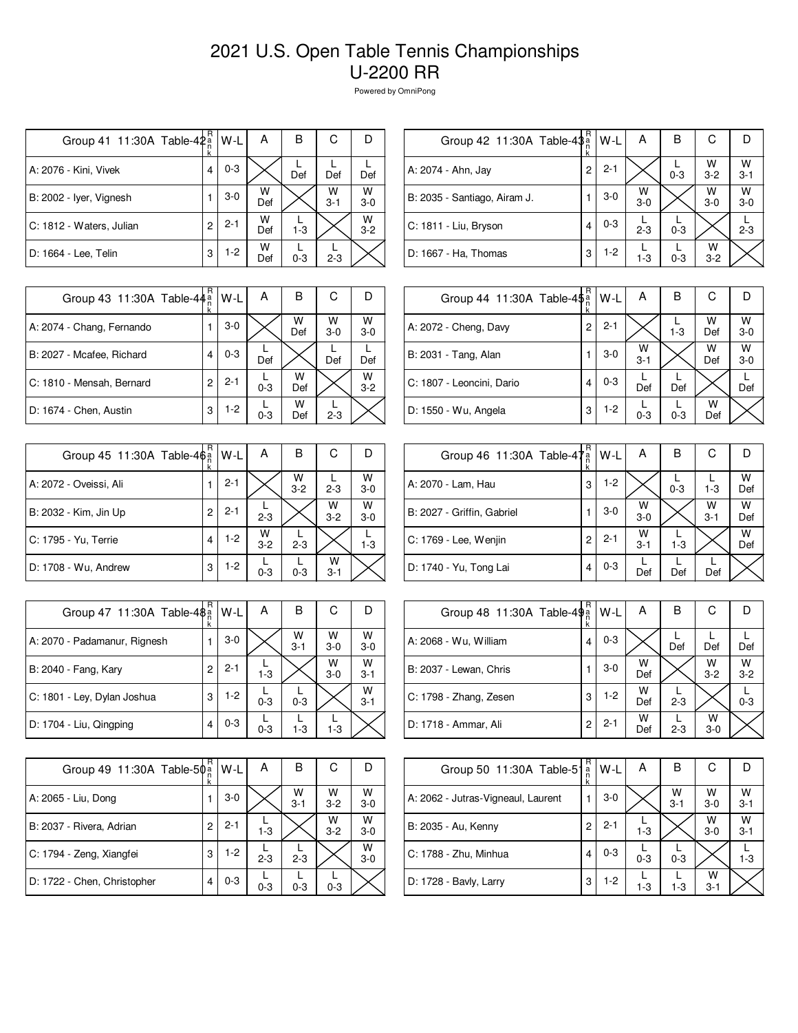| Group 41 11:30A Table-42 <sup>a</sup> | R<br>k | W-L     | А        | в       | С            | Ð          |
|---------------------------------------|--------|---------|----------|---------|--------------|------------|
| A: 2076 - Kini, Vivek                 | 4      | $0 - 3$ |          | Def     | Def          | Def        |
| B: 2002 - Iyer, Vignesh               |        | $3-0$   | W<br>Def |         | W<br>$3 - 1$ | W<br>$3-0$ |
| C: 1812 - Waters, Julian              | 2      | $2 - 1$ | w<br>Def | $1 - 3$ |              | W<br>$3-2$ |
| D: 1664 - Lee, Telin                  | 3      | $1-2$   | w<br>Def | $0 - 3$ | $2 - 3$      |            |

| Group 42 11:30A Table-4\$a   | R              | W-L     | А          | в       | С                  |                    |
|------------------------------|----------------|---------|------------|---------|--------------------|--------------------|
| A: 2074 - Ahn, Jay           | $\overline{2}$ | $2 - 1$ |            | $0 - 3$ | $W$ <sub>3-2</sub> | $W$ <sub>3-1</sub> |
| B: 2035 - Santiago, Airam J. |                | $3-0$   | $W$<br>3-0 |         | W<br>$3-0$         | W<br>$3-0$         |
| C: 1811 - Liu, Bryson        | 4              | $0 - 3$ | $2 - 3$    | $0 - 3$ |                    | $2 - 3$            |
| D: 1667 - Ha, Thomas         | 3              | $1-2$   | $1 - 3$    | $0 - 3$ | W<br>$3 - 2$       |                    |
|                              |                |         |            |         |                    |                    |

| Group 43 11:30A Table-44 <sup>a</sup> | R | W-L     | А       | В        | С          |              |
|---------------------------------------|---|---------|---------|----------|------------|--------------|
| A: 2074 - Chang, Fernando             |   | $3-0$   |         | W<br>Def | W<br>$3-0$ | W<br>$3 - 0$ |
| B: 2027 - Mcafee, Richard             | 4 | $0 - 3$ | Def     |          | Def        | Def          |
| C: 1810 - Mensah, Bernard             | 2 | $2 - 1$ | $0 - 3$ | w<br>Def |            | W<br>$3 - 2$ |
| D: 1674 - Chen, Austin                | 3 | $1-2$   | $0 - 3$ | w<br>Def | $2 - 3$    |              |

| Group 45 11:30A Table-46 <sup>a</sup> | R.<br>k | W-L     | А                  | В            | С            |              |
|---------------------------------------|---------|---------|--------------------|--------------|--------------|--------------|
| A: 2072 - Oveissi, Ali                |         | $2 - 1$ |                    | W<br>$3 - 2$ | $2 - 3$      | W<br>$3 - 0$ |
| B: 2032 - Kim, Jin Up                 | 2       | $2 - 1$ | $2 - 3$            |              | W<br>$3 - 2$ | W<br>$3-0$   |
| C: 1795 - Yu, Terrie                  | 4       | $1-2$   | $W$ <sub>3-2</sub> | $2 - 3$      |              | $1 - 3$      |
| D: 1708 - Wu, Andrew                  | 3       | $1-2$   | $0 - 3$            | $0 - 3$      | w<br>$3 - 1$ |              |

| Group 47 11:30A Table-48 <sup>a</sup> | R<br>k | W-L     | А       | в            | С            |              |
|---------------------------------------|--------|---------|---------|--------------|--------------|--------------|
| A: 2070 - Padamanur, Rignesh          |        | $3-0$   |         | W<br>$3 - 1$ | W<br>$3 - 0$ | W<br>$3 - 0$ |
| B: 2040 - Fang, Kary                  | 2      | $2 - 1$ | $1-3$   |              | W<br>$3-0$   | w<br>$3 - 1$ |
| C: 1801 - Ley, Dylan Joshua           | 3      | $1-2$   | $0 - 3$ | $0 - 3$      |              | W<br>$3 - 1$ |
| D: 1704 - Liu, Qingping               |        | $0 - 3$ | $0 - 3$ | $1 - 3$      | $1 - 3$      |              |

| Group 49 11:30A Table-50a   | R | W-L     | А       | В            | С            |              |
|-----------------------------|---|---------|---------|--------------|--------------|--------------|
| A: 2065 - Liu, Dong         |   | $3-0$   |         | W<br>$3 - 1$ | W<br>$3 - 2$ | W<br>$3 - 0$ |
| B: 2037 - Rivera, Adrian    | 2 | $2 - 1$ | $1-3$   |              | W<br>$3 - 2$ | W<br>$3-0$   |
| C: 1794 - Zeng, Xiangfei    | 3 | $1 - 2$ | $2 - 3$ | $2 - 3$      |              | W<br>$3 - 0$ |
| D: 1722 - Chen, Christopher | 4 | $0 - 3$ | $0 - 3$ | $0 - 3$      | $0 - 3$      |              |

| Group 44 11:30A Table-4\$a | R<br>k | W-L     | A            | в       | С        |              |
|----------------------------|--------|---------|--------------|---------|----------|--------------|
| A: 2072 - Cheng, Davy      | 2      | $2 - 1$ |              | $1 - 3$ | W<br>Def | w<br>$3 - 0$ |
| B: 2031 - Tang, Alan       |        | $3-0$   | W<br>$3 - 1$ |         | W<br>Def | w<br>$3-0$   |
| C: 1807 - Leoncini, Dario  | 4      | $0 - 3$ | Def          | Def     |          | Def          |
| D: 1550 - Wu, Angela       | 3      | $1-2$   | $0 - 3$      | $0 - 3$ | w<br>Def |              |

| Group 46 11:30A Table-47   | R<br>้ล<br>ท<br>k | W-L     | Α            | в       | С            |          |
|----------------------------|-------------------|---------|--------------|---------|--------------|----------|
| A: 2070 - Lam, Hau         | 3                 | $1-2$   |              | $0 - 3$ | $1-3$        | W<br>Def |
| B: 2027 - Griffin, Gabriel |                   | $3-0$   | w<br>$3-0$   |         | W<br>$3 - 1$ | W<br>Def |
| C: 1769 - Lee, Wenjin      | 2                 | $2 - 1$ | W<br>$3 - 1$ | $1 - 3$ |              | W<br>Def |
| D: 1740 - Yu, Tong Lai     | 4                 | $0 - 3$ | Def          | Def     | Def          |          |

| Group 48 11:30A Table-49 <sup>a</sup> | R | W-L     | А        | В       | С            |              |
|---------------------------------------|---|---------|----------|---------|--------------|--------------|
| A: 2068 - Wu, William                 | 4 | $0 - 3$ |          | Def     | Def          | Def          |
| B: 2037 - Lewan, Chris                |   | $3-0$   | W<br>Def |         | W<br>$3 - 2$ | W<br>$3 - 2$ |
| C: 1798 - Zhang, Zesen                | 3 | $1-2$   | W<br>Def | $2 - 3$ |              | $0 - 3$      |
| D: 1718 - Ammar, Ali                  | 2 | $2 - 1$ | W<br>Def | $2 - 3$ | W<br>$3-0$   |              |

| Group 50 11:30A Table-51           | R<br>$\frac{a}{n}$ | W-L     | А       | В            | С            |                    |
|------------------------------------|--------------------|---------|---------|--------------|--------------|--------------------|
| A: 2062 - Jutras-Vigneaul, Laurent |                    | $3-0$   |         | W<br>$3 - 1$ | W<br>$3-0$   | $W$ <sub>3-1</sub> |
| B: 2035 - Au, Kenny                | 2                  | $2 - 1$ | $1 - 3$ |              | w<br>$3-0$   | W<br>$3 - 1$       |
| C: 1788 - Zhu, Minhua              | 4                  | $0 - 3$ | $0 - 3$ | $0 - 3$      |              | $1 - 3$            |
| D: 1728 - Bavly, Larry             | 3                  | $1-2$   | $1-3$   | $1-3$        | W<br>$3 - 1$ |                    |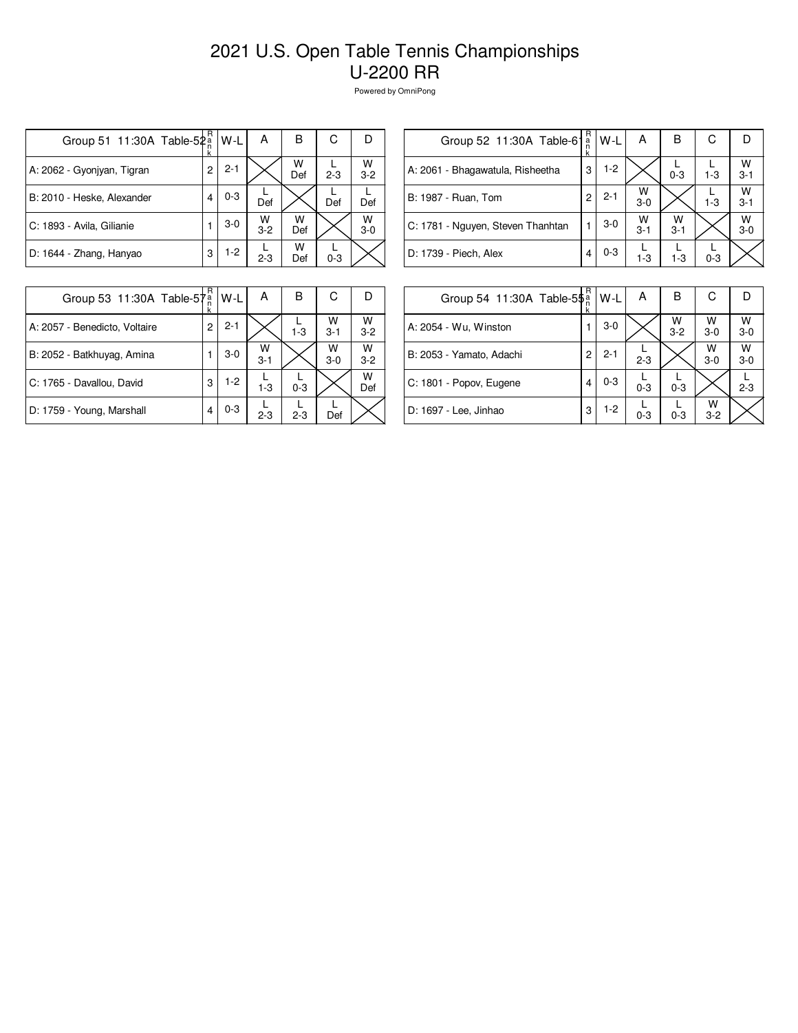| Group 51 11:30A Table-52a  | R<br>ĸ | W-L     | А          | в        | С       | Ð            |
|----------------------------|--------|---------|------------|----------|---------|--------------|
| A: 2062 - Gyonjyan, Tigran | 2      | $2 - 1$ |            | W<br>Def | $2 - 3$ | w<br>$3 - 2$ |
| B: 2010 - Heske, Alexander | 4      | $0 - 3$ | Def        |          | Def     | Def          |
| C: 1893 - Avila, Gilianie  |        | $3-0$   | W<br>$3-2$ | w<br>Def |         | W<br>$3-0$   |
| D: 1644 - Zhang, Hanyao    | 3      | $1-2$   | $2 - 3$    | w<br>Def | $0 - 3$ |              |

| Group 52 11:30A Table-61          | R<br>a<br>n | W-L     | Α            | в            | С       |              |
|-----------------------------------|-------------|---------|--------------|--------------|---------|--------------|
| A: 2061 - Bhagawatula, Risheetha  | 3           | $1-2$   |              | $0 - 3$      | $1 - 3$ | W<br>$3 - 1$ |
| B: 1987 - Ruan, Tom               | 2           | $2 - 1$ | w<br>$3-0$   |              | $1-3$   | w<br>$3 - 1$ |
| C: 1781 - Nguyen, Steven Thanhtan |             | $3-0$   | W<br>$3 - 1$ | w<br>$3 - 1$ |         | w<br>$3-0$   |
| D: 1739 - Piech, Alex             |             | $0 - 3$ | $1-3$        | $1-3$        | $0 - 3$ |              |
|                                   |             |         |              |              |         |              |

| Group 53 11:30A Table-57      | R<br>$\frac{a}{n}$<br>k | W-L     | А            | в       | С            |              |
|-------------------------------|-------------------------|---------|--------------|---------|--------------|--------------|
| A: 2057 - Benedicto, Voltaire | 2                       | $2 - 1$ |              | $1 - 3$ | W<br>$3 - 1$ | W<br>$3 - 2$ |
| B: 2052 - Batkhuyag, Amina    |                         | $3-0$   | W<br>$3 - 1$ |         | W<br>$3-0$   | W<br>$3 - 2$ |
| C: 1765 - Davallou, David     | 3                       | $1-2$   | $1-3$        | $0 - 3$ |              | W<br>Def     |
| D: 1759 - Young, Marshall     | 4                       | $0 - 3$ | $2 - 3$      | $2 - 3$ | Def          |              |

| Group 54 11:30A Table-5\$ | k | W-L     | A       | в            | С            |              |
|---------------------------|---|---------|---------|--------------|--------------|--------------|
| A: 2054 - Wu, Winston     | 1 | $3-0$   |         | W<br>$3 - 2$ | W<br>$3-0$   | W<br>$3 - 0$ |
| B: 2053 - Yamato, Adachi  | 2 | $2 - 1$ | $2 - 3$ |              | W<br>$3-0$   | w<br>$3-0$   |
| C: 1801 - Popov, Eugene   | 4 | $0 - 3$ | $0 - 3$ | $0 - 3$      |              | $2 - 3$      |
| D: 1697 - Lee, Jinhao     | 3 | $1-2$   | $0 - 3$ | $0 - 3$      | W<br>$3 - 2$ |              |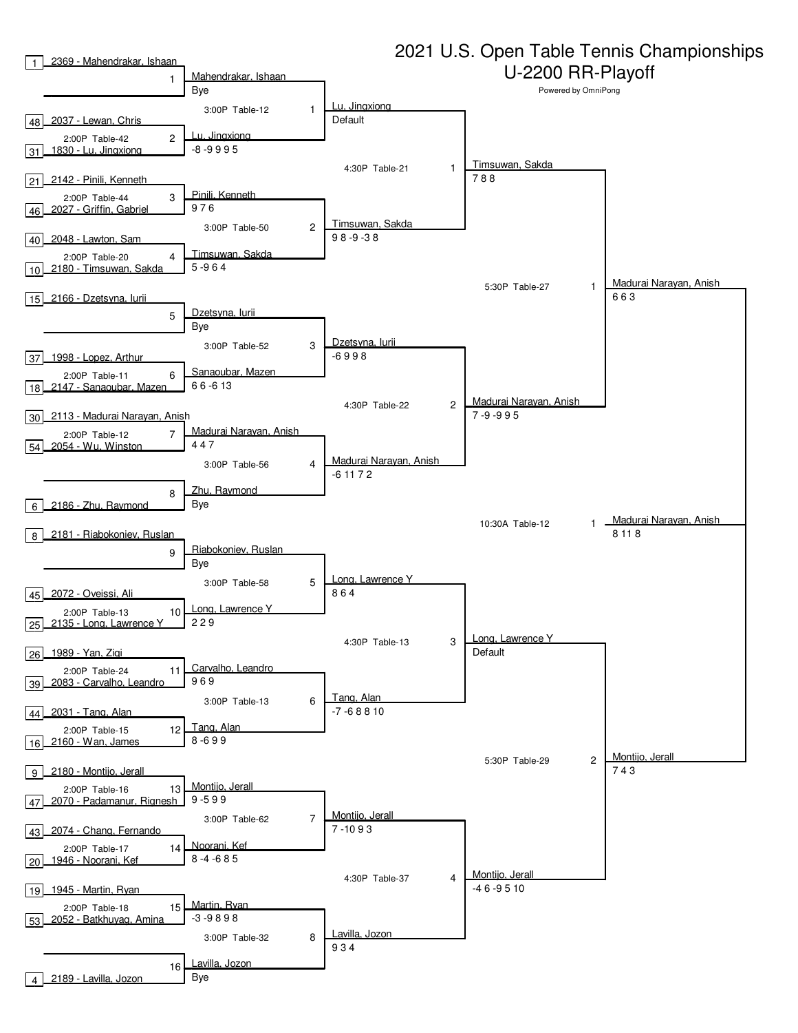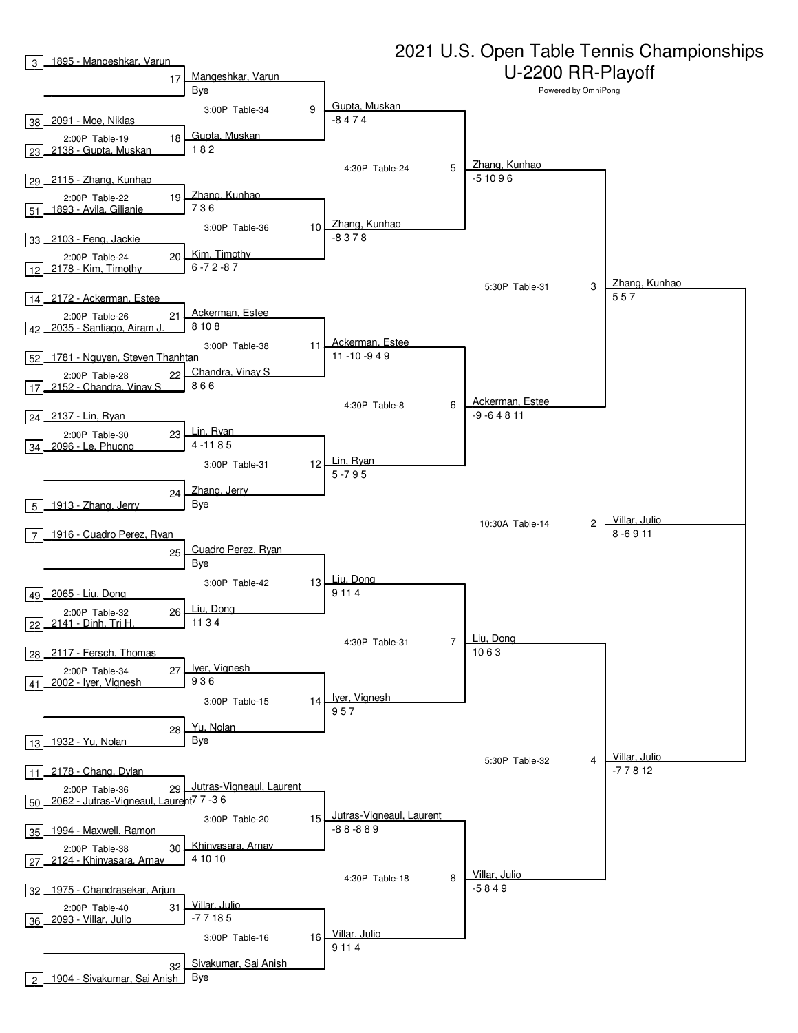